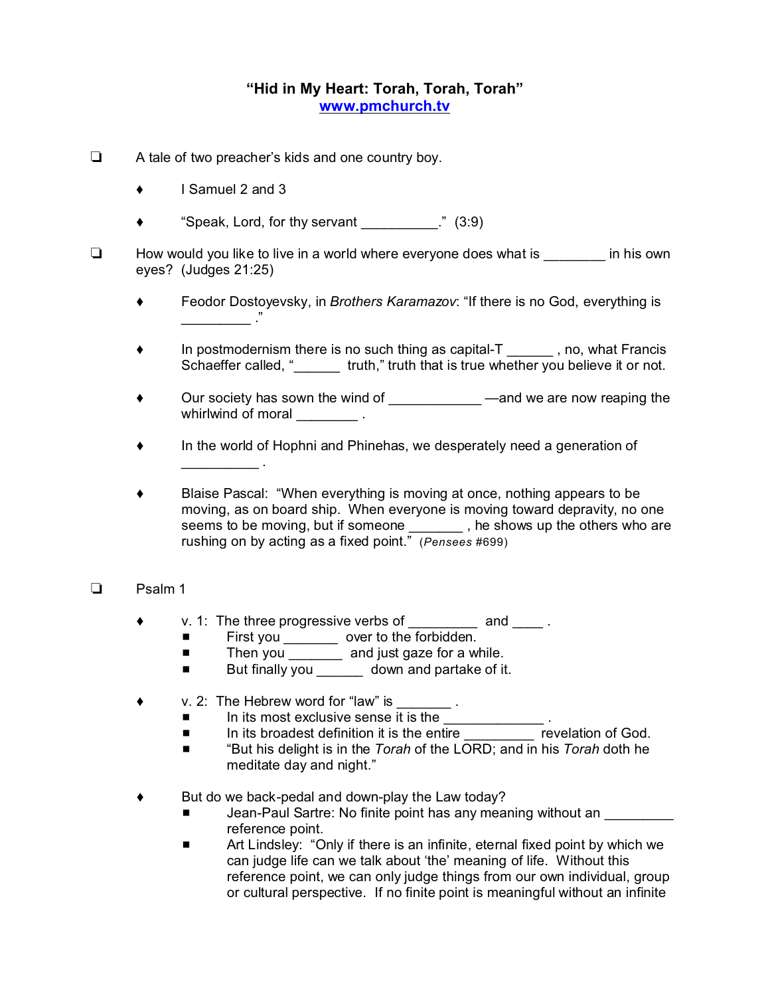## **"Hid in My Heart: Torah, Torah, Torah" www.pmchurch.tv**

- $\Box$  A tale of two preacher's kids and one country boy.
	- $\bullet$  I Samuel 2 and 3
	- "Speak, Lord, for thy servant \_\_\_\_\_\_\_\_\_\_." (3:9)
- $\Box$  How would you like to live in a world where everyone does what is  $\Box$  in his own eyes? (Judges 21:25)
	- Feodor Dostoyevsky, in *Brothers Karamazov*: "If there is no God, everything is  $\overline{\phantom{a}}$
	- ◆ In postmodernism there is no such thing as capital-T \_\_\_\_\_\_\_, no, what Francis Schaeffer called, " which," truth that is true whether you believe it or not.
	- Our society has sown the wind of \_\_\_\_\_\_\_\_\_\_\_\_\_\_\_\_ —and we are now reaping the whirlwind of moral **whirlwind**
	- In the world of Hophni and Phinehas, we desperately need a generation of  $\frac{1}{2}$  .
	- Blaise Pascal: "When everything is moving at once, nothing appears to be moving, as on board ship. When everyone is moving toward depravity, no one seems to be moving, but if someone , he shows up the others who are rushing on by acting as a fixed point." (*Pensees* #699)

## D<sub>B</sub> Psalm 1

- v. 1: The three progressive verbs of \_\_\_\_\_\_\_\_\_ and \_\_\_\_ .
	- First you \_\_\_\_\_\_\_\_\_ over to the forbidden.
	- Then you \_\_\_\_\_\_\_ and just gaze for a while.
	- **Example 3** But finally you \_\_\_\_\_\_\_ down and partake of it.
- $\bullet$  v. 2: The Hebrew word for "law" is
	-
	- In its most exclusive sense it is the  $\frac{1}{\sqrt{1-\frac{1}{n}}}$  . The its broadest definition it is the entire revelation of God.  $\blacksquare$  In its broadest definition it is the entire
	- "But his delight is in the *Torah* of the LORD; and in his *Torah* doth he meditate day and night."
- But do we back-pedal and down-play the Law today?
	- Jean-Paul Sartre: No finite point has any meaning without an reference point.
	- **EXECT** Art Lindsley: "Only if there is an infinite, eternal fixed point by which we can judge life can we talk about 'the' meaning of life. Without this reference point, we can only judge things from our own individual, group or cultural perspective. If no finite point is meaningful without an infinite